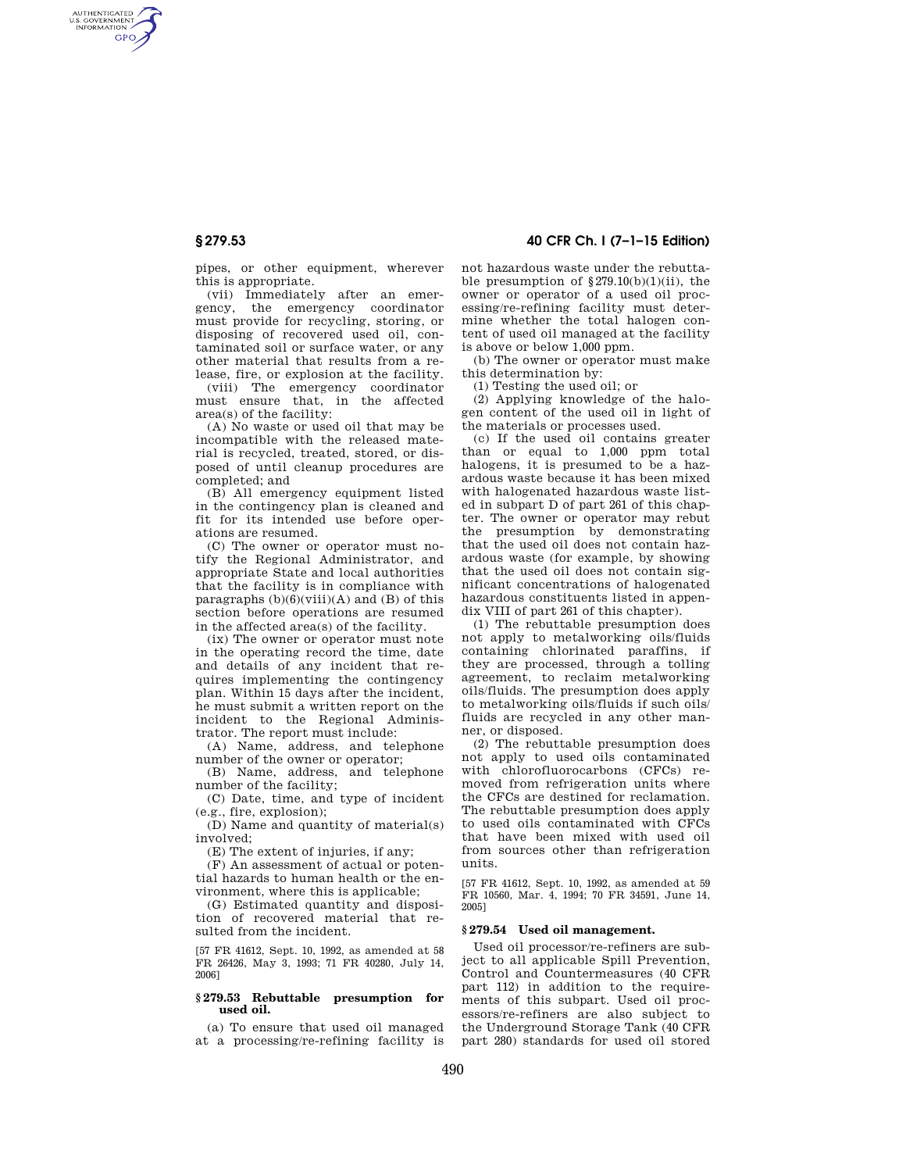# **§ 279.53 40 CFR Ch. I (7–1–15 Edition)**

AUTHENTICATED<br>U.S. GOVERNMENT<br>INFORMATION **GPO** 

> pipes, or other equipment, wherever this is appropriate.

> (vii) Immediately after an emergency, the emergency coordinator must provide for recycling, storing, or disposing of recovered used oil, contaminated soil or surface water, or any other material that results from a release, fire, or explosion at the facility.

> (viii) The emergency coordinator must ensure that, in the affected area(s) of the facility:

> (A) No waste or used oil that may be incompatible with the released material is recycled, treated, stored, or disposed of until cleanup procedures are completed; and

> (B) All emergency equipment listed in the contingency plan is cleaned and fit for its intended use before operations are resumed.

> (C) The owner or operator must notify the Regional Administrator, and appropriate State and local authorities that the facility is in compliance with paragraphs  $(b)(6)(viii)(A)$  and  $(B)$  of this section before operations are resumed in the affected area(s) of the facility.

> (ix) The owner or operator must note in the operating record the time, date and details of any incident that requires implementing the contingency plan. Within 15 days after the incident, he must submit a written report on the incident to the Regional Administrator. The report must include:

(A) Name, address, and telephone number of the owner or operator;

(B) Name, address, and telephone number of the facility;

(C) Date, time, and type of incident (e.g., fire, explosion);

(D) Name and quantity of material(s) involved;

(E) The extent of injuries, if any;

(F) An assessment of actual or potential hazards to human health or the environment, where this is applicable;

(G) Estimated quantity and disposition of recovered material that resulted from the incident.

[57 FR 41612, Sept. 10, 1992, as amended at 58 FR 26426, May 3, 1993; 71 FR 40280, July 14, 2006]

### **§ 279.53 Rebuttable presumption for used oil.**

(a) To ensure that used oil managed at a processing/re-refining facility is not hazardous waste under the rebuttable presumption of  $$279.10(b)(1)(ii)$ , the owner or operator of a used oil processing/re-refining facility must determine whether the total halogen content of used oil managed at the facility is above or below 1,000 ppm.

(b) The owner or operator must make this determination by:

(1) Testing the used oil; or

(2) Applying knowledge of the halogen content of the used oil in light of the materials or processes used.

(c) If the used oil contains greater than or equal to 1,000 ppm total halogens, it is presumed to be a hazardous waste because it has been mixed with halogenated hazardous waste listed in subpart D of part 261 of this chapter. The owner or operator may rebut the presumption by demonstrating that the used oil does not contain hazardous waste (for example, by showing that the used oil does not contain significant concentrations of halogenated hazardous constituents listed in appendix VIII of part 261 of this chapter).

(1) The rebuttable presumption does not apply to metalworking oils/fluids containing chlorinated paraffins, if they are processed, through a tolling agreement, to reclaim metalworking oils/fluids. The presumption does apply to metalworking oils/fluids if such oils/ fluids are recycled in any other manner, or disposed.

(2) The rebuttable presumption does not apply to used oils contaminated with chlorofluorocarbons (CFCs) removed from refrigeration units where the CFCs are destined for reclamation. The rebuttable presumption does apply to used oils contaminated with CFCs that have been mixed with used oil from sources other than refrigeration units.

[57 FR 41612, Sept. 10, 1992, as amended at 59 FR 10560, Mar. 4, 1994; 70 FR 34591, June 14, 2005]

## **§ 279.54 Used oil management.**

Used oil processor/re-refiners are subject to all applicable Spill Prevention, Control and Countermeasures (40 CFR part 112) in addition to the requirements of this subpart. Used oil processors/re-refiners are also subject to the Underground Storage Tank (40 CFR part 280) standards for used oil stored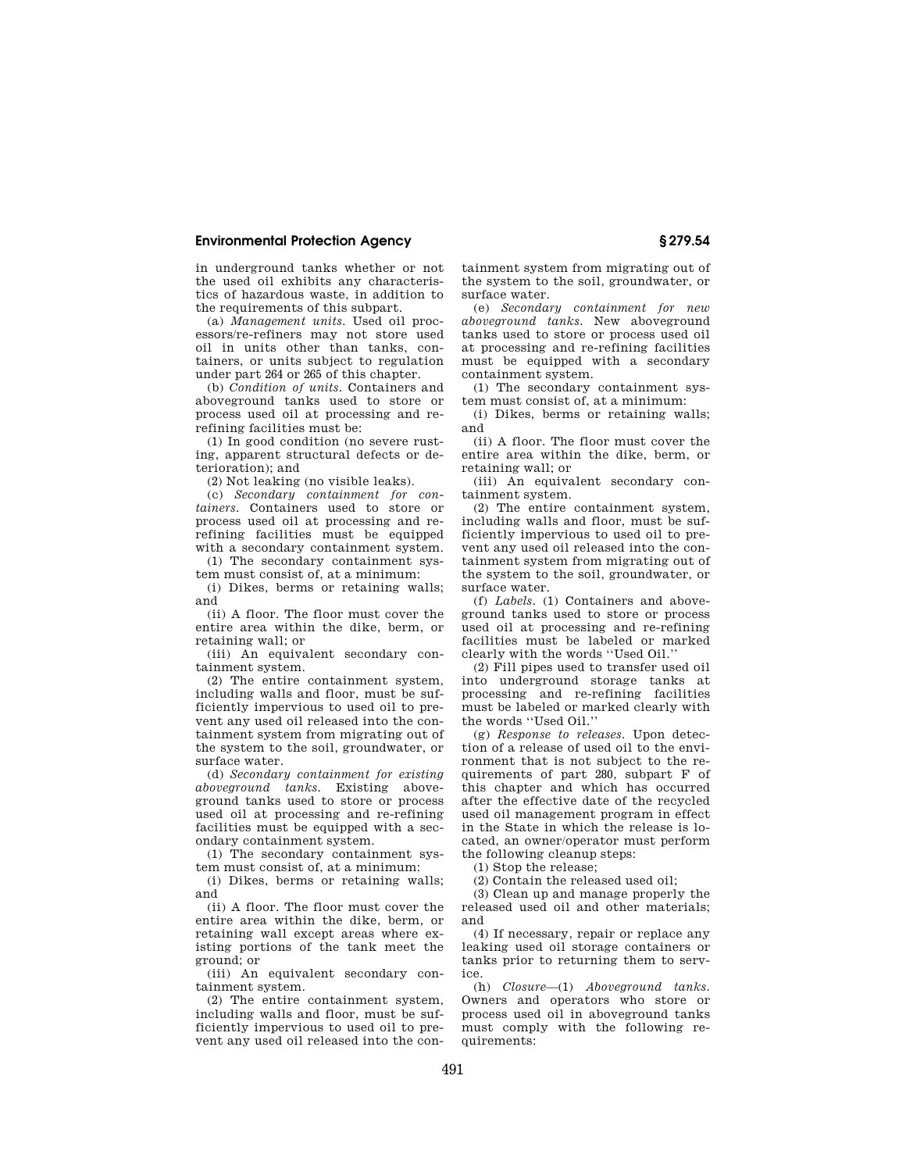## **Environmental Protection Agency § 279.54**

in underground tanks whether or not the used oil exhibits any characteristics of hazardous waste, in addition to the requirements of this subpart.

(a) *Management units.* Used oil processors/re-refiners may not store used oil in units other than tanks, containers, or units subject to regulation under part 264 or 265 of this chapter.

(b) *Condition of units.* Containers and aboveground tanks used to store or process used oil at processing and rerefining facilities must be:

(1) In good condition (no severe rusting, apparent structural defects or deterioration); and

(2) Not leaking (no visible leaks).

(c) *Secondary containment for containers.* Containers used to store or process used oil at processing and rerefining facilities must be equipped with a secondary containment system.

(1) The secondary containment system must consist of, at a minimum:

(i) Dikes, berms or retaining walls; and

(ii) A floor. The floor must cover the entire area within the dike, berm, or retaining wall; or

(iii) An equivalent secondary containment system.

(2) The entire containment system, including walls and floor, must be sufficiently impervious to used oil to prevent any used oil released into the containment system from migrating out of the system to the soil, groundwater, or surface water.

(d) *Secondary containment for existing aboveground tanks.* Existing aboveground tanks used to store or process used oil at processing and re-refining facilities must be equipped with a secondary containment system.

(1) The secondary containment system must consist of, at a minimum:

(i) Dikes, berms or retaining walls; and

(ii) A floor. The floor must cover the entire area within the dike, berm, or retaining wall except areas where existing portions of the tank meet the ground; or

(iii) An equivalent secondary containment system.

(2) The entire containment system, including walls and floor, must be sufficiently impervious to used oil to prevent any used oil released into the con-

tainment system from migrating out of the system to the soil, groundwater, or surface water.

(e) *Secondary containment for new aboveground tanks.* New aboveground tanks used to store or process used oil at processing and re-refining facilities must be equipped with a secondary containment system.

(1) The secondary containment system must consist of, at a minimum:

(i) Dikes, berms or retaining walls; and

(ii) A floor. The floor must cover the entire area within the dike, berm, or retaining wall; or

(iii) An equivalent secondary containment system.

(2) The entire containment system, including walls and floor, must be sufficiently impervious to used oil to prevent any used oil released into the containment system from migrating out of the system to the soil, groundwater, or surface water.

(f) *Labels.* (1) Containers and aboveground tanks used to store or process used oil at processing and re-refining facilities must be labeled or marked clearly with the words ''Used Oil.''

(2) Fill pipes used to transfer used oil into underground storage tanks at processing and re-refining facilities must be labeled or marked clearly with the words ''Used Oil.''

(g) *Response to releases.* Upon detection of a release of used oil to the environment that is not subject to the requirements of part 280, subpart F of this chapter and which has occurred after the effective date of the recycled used oil management program in effect in the State in which the release is located, an owner/operator must perform the following cleanup steps:

(1) Stop the release;

(2) Contain the released used oil;

(3) Clean up and manage properly the released used oil and other materials; and

(4) If necessary, repair or replace any leaking used oil storage containers or tanks prior to returning them to service.

(h) *Closure*—(1) *Aboveground tanks.*  Owners and operators who store or process used oil in aboveground tanks must comply with the following requirements: